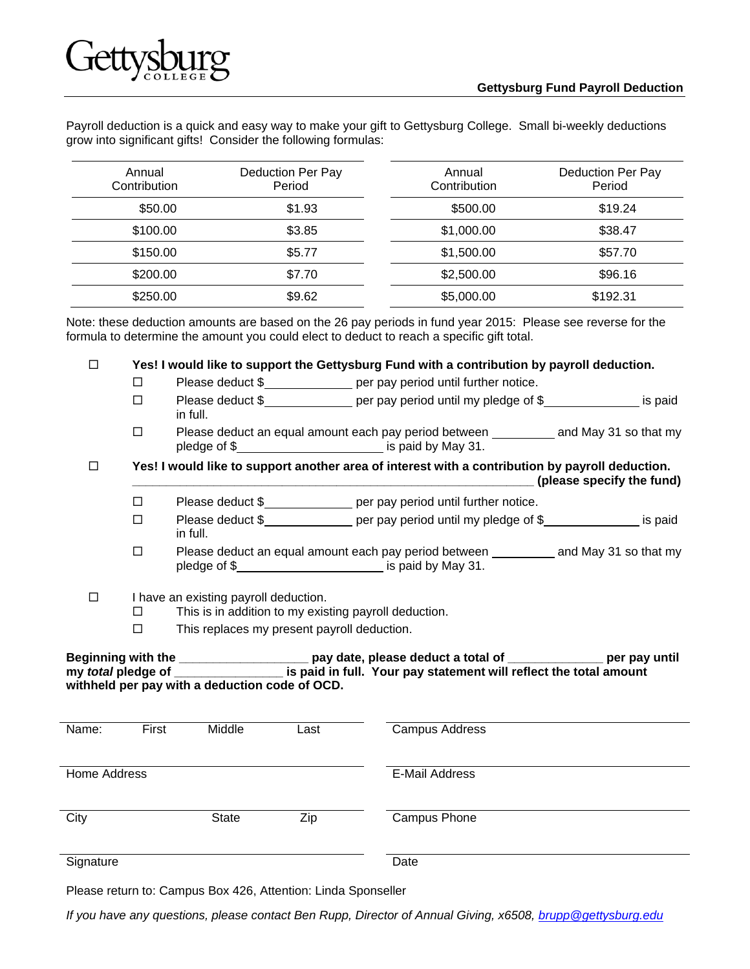

Payroll deduction is a quick and easy way to make your gift to Gettysburg College. Small bi-weekly deductions grow into significant gifts! Consider the following formulas:

| Annual<br>Contribution | Deduction Per Pay<br>Period |            | Deduction Per Pay<br>Period |  |
|------------------------|-----------------------------|------------|-----------------------------|--|
| \$50.00                | \$1.93                      | \$500.00   | \$19.24                     |  |
| \$100.00               | \$3.85                      | \$1,000.00 | \$38.47                     |  |
| \$150.00               | \$5.77                      | \$1,500.00 | \$57.70                     |  |
| \$200.00               | \$7.70                      | \$2,500.00 | \$96.16                     |  |
| \$250.00               | \$9.62                      | \$5,000.00 | \$192.31                    |  |

Note: these deduction amounts are based on the 26 pay periods in fund year 2015: Please see reverse for the formula to determine the amount you could elect to deduct to reach a specific gift total.

**Yes! I would like to support the Gettysburg Fund with a contribution by payroll deduction.** 

- □ Please deduct \$<br>
per pay period until further notice.
- □ Please deduct \$<br>
<del>□</del> Please deduct \$<br>
per pay period until my pledge of \$<br>
period until my pledge of \$<br>
period until my pledge of \$<br>
period until my pledge of \$<br>
period until my pledge of \$<br>
period until my pledge of \$<br> in full.
- $\Box$  Please deduct an equal amount each pay period between and May 31 so that my pledge of \$

 **Yes! I would like to support another area of interest with a contribution by payroll deduction. \_\_\_\_\_\_\_\_\_\_\_\_\_\_\_\_\_\_\_\_\_\_\_\_\_\_\_\_\_\_\_\_\_\_\_\_\_\_\_\_\_\_\_\_\_\_\_\_\_\_\_\_\_\_\_\_\_\_\_ (please specify the fund)** 

- □ Please deduct \$<br>
per pay period until further notice.
- $\square$  Please deduct \$ per pay period until my pledge of \$ is paid in full.
- $\square$  Please deduct an equal amount each pay period between  $\_\_\_\_\_$ and May 31 so that my pledge of \$
- $\Box$  I have an existing payroll deduction.
	- $\square$  This is in addition to my existing payroll deduction.
	- $\square$  This replaces my present payroll deduction.

| <b>Beginning with the</b> | pay date, please deduct a total of                                | per pay until |
|---------------------------|-------------------------------------------------------------------|---------------|
| my <i>total</i> pledge of | is paid in full. Your pay statement will reflect the total amount |               |
|                           | withheld per pay with a deduction code of OCD.                    |               |

| Name:        | First | Middle       | Last | <b>Campus Address</b> |  |
|--------------|-------|--------------|------|-----------------------|--|
|              |       |              |      |                       |  |
| Home Address |       |              |      | <b>E-Mail Address</b> |  |
|              |       |              |      |                       |  |
| City         |       | <b>State</b> | Zip  | <b>Campus Phone</b>   |  |
|              |       |              |      |                       |  |
| Signature    |       |              |      | Date                  |  |

Please return to: Campus Box 426, Attention: Linda Sponseller

*If you have any questions, please contact Ben Rupp, Director of Annual Giving, x6508, brupp@gettysburg.edu*